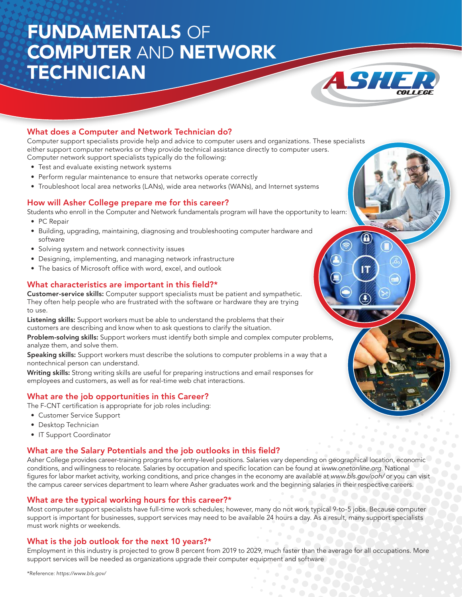## FUNDAMENTALS OF COMPUTER AND NETWORK **TECHNICIAN**



## What does a Computer and Network Technician do?

Computer support specialists provide help and advice to computer users and organizations. These specialists either support computer networks or they provide technical assistance directly to computer users. Computer network support specialists typically do the following:

- Test and evaluate existing network systems
- Perform regular maintenance to ensure that networks operate correctly
- Troubleshoot local area networks (LANs), wide area networks (WANs), and Internet systems

## How will Asher College prepare me for this career?

Students who enroll in the Computer and Network fundamentals program will have the opportunity to learn:

- PC Repair
- Building, upgrading, maintaining, diagnosing and troubleshooting computer hardware and software
- Solving system and network connectivity issues
- Designing, implementing, and managing network infrastructure
- The basics of Microsoft office with word, excel, and outlook

## What characteristics are important in this field?\*

Customer-service skills: Computer support specialists must be patient and sympathetic. They often help people who are frustrated with the software or hardware they are trying to use.

Listening skills: Support workers must be able to understand the problems that their customers are describing and know when to ask questions to clarify the situation.

Problem-solving skills: Support workers must identify both simple and complex computer problems, analyze them, and solve them.

Speaking skills: Support workers must describe the solutions to computer problems in a way that a nontechnical person can understand.

Writing skills: Strong writing skills are useful for preparing instructions and email responses for employees and customers, as well as for real-time web chat interactions.

## What are the job opportunities in this Career?

The F-CNT certification is appropriate for job roles including:

- Customer Service Support
- Desktop Technician
- IT Support Coordinator

#### What are the Salary Potentials and the job outlooks in this field?

Asher College provides career-training programs for entry-level positions. Salaries vary depending on geographical location, economic conditions, and willingness to relocate. Salaries by occupation and specific location can be found at www.onetonline.org. National figures for labor market activity, working conditions, and price changes in the economy are available at www.bls.gov/ooh/ or you can visit the campus career services department to learn where Asher graduates work and the beginning salaries in their respective careers.

#### What are the typical working hours for this career?\*

Most computer support specialists have full-time work schedules; however, many do not work typical 9-to-5 jobs. Because computer support is important for businesses, support services may need to be available 24 hours a day. As a result, many support specialists must work nights or weekends.

#### What is the job outlook for the next 10 years?\*

Employment in this industry is projected to grow 8 percent from 2019 to 2029, much faster than the average for all occupations. More support services will be needed as organizations upgrade their computer equipment and software